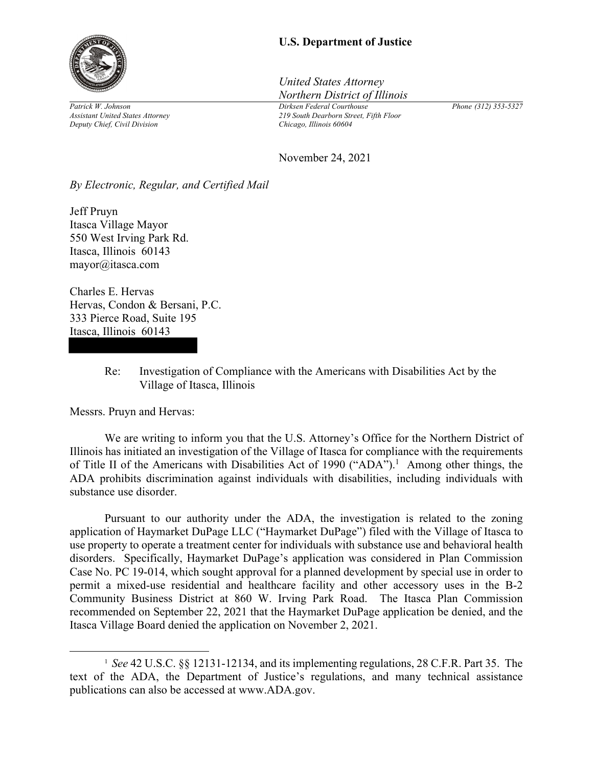

*Patrick W. Johnson Assistant United States Attorney Deputy Chief, Civil Division* 

## **U.S. Department of Justice**

*United States Attorney Northern District of Illinois*

*Dirksen Federal Courthouse 219 South Dearborn Street, Fifth Floor Chicago, Illinois 60604* 

*Phone (312) 353-5327*

November 24, 2021

*By Electronic, Regular, and Certified Mail* 

Jeff Pruyn Itasca Village Mayor 550 West Irving Park Rd. Itasca, Illinois 60143 mayor@itasca.com

Charles E. Hervas Hervas, Condon & Bersani, P.C. 333 Pierce Road, Suite 195 Itasca, Illinois 60143

> Re: Investigation of Compliance with the Americans with Disabilities Act by the Village of Itasca, Illinois

Messrs. Pruyn and Hervas:

 We are writing to inform you that the U.S. Attorney's Office for the Northern District of Illinois has initiated an investigation of the Village of Itasca for compliance with the requirements of Title II of the Americans with Disabilities Act of 1990 ("ADA").<sup>1</sup> Among other things, the ADA prohibits discrimination against individuals with disabilities, including individuals with substance use disorder.

Pursuant to our authority under the ADA, the investigation is related to the zoning application of Haymarket DuPage LLC ("Haymarket DuPage") filed with the Village of Itasca to use property to operate a treatment center for individuals with substance use and behavioral health disorders. Specifically, Haymarket DuPage's application was considered in Plan Commission Case No. PC 19-014, which sought approval for a planned development by special use in order to permit a mixed-use residential and healthcare facility and other accessory uses in the B-2 Community Business District at 860 W. Irving Park Road. The Itasca Plan Commission recommended on September 22, 2021 that the Haymarket DuPage application be denied, and the Itasca Village Board denied the application on November 2, 2021.

<sup>&</sup>lt;sup>1</sup> See 42 U.S.C. §§ 12131-12134, and its implementing regulations, 28 C.F.R. Part 35. The text of the ADA, the Department of Justice's regulations, and many technical assistance publications can also be accessed at www.ADA.gov.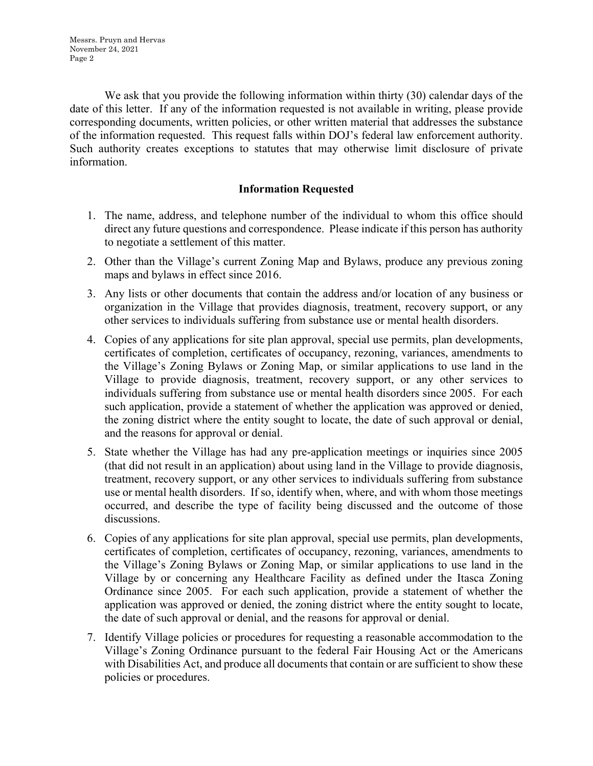We ask that you provide the following information within thirty (30) calendar days of the date of this letter. If any of the information requested is not available in writing, please provide corresponding documents, written policies, or other written material that addresses the substance of the information requested. This request falls within DOJ's federal law enforcement authority. Such authority creates exceptions to statutes that may otherwise limit disclosure of private information.

## **Information Requested**

- 1. The name, address, and telephone number of the individual to whom this office should direct any future questions and correspondence. Please indicate if this person has authority to negotiate a settlement of this matter.
- 2. Other than the Village's current Zoning Map and Bylaws, produce any previous zoning maps and bylaws in effect since 2016.
- 3. Any lists or other documents that contain the address and/or location of any business or organization in the Village that provides diagnosis, treatment, recovery support, or any other services to individuals suffering from substance use or mental health disorders.
- 4. Copies of any applications for site plan approval, special use permits, plan developments, certificates of completion, certificates of occupancy, rezoning, variances, amendments to the Village's Zoning Bylaws or Zoning Map, or similar applications to use land in the Village to provide diagnosis, treatment, recovery support, or any other services to individuals suffering from substance use or mental health disorders since 2005. For each such application, provide a statement of whether the application was approved or denied, the zoning district where the entity sought to locate, the date of such approval or denial, and the reasons for approval or denial.
- 5. State whether the Village has had any pre-application meetings or inquiries since 2005 (that did not result in an application) about using land in the Village to provide diagnosis, treatment, recovery support, or any other services to individuals suffering from substance use or mental health disorders. If so, identify when, where, and with whom those meetings occurred, and describe the type of facility being discussed and the outcome of those discussions.
- 6. Copies of any applications for site plan approval, special use permits, plan developments, certificates of completion, certificates of occupancy, rezoning, variances, amendments to the Village's Zoning Bylaws or Zoning Map, or similar applications to use land in the Village by or concerning any Healthcare Facility as defined under the Itasca Zoning Ordinance since 2005. For each such application, provide a statement of whether the application was approved or denied, the zoning district where the entity sought to locate, the date of such approval or denial, and the reasons for approval or denial.
- 7. Identify Village policies or procedures for requesting a reasonable accommodation to the Village's Zoning Ordinance pursuant to the federal Fair Housing Act or the Americans with Disabilities Act, and produce all documents that contain or are sufficient to show these policies or procedures.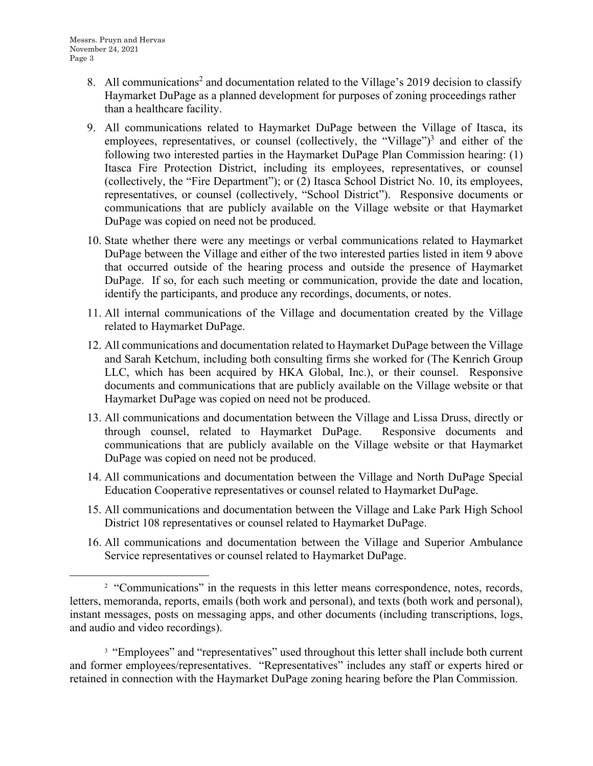- 8. All communications<sup>2</sup> and documentation related to the Village's 2019 decision to classify Haymarket DuPage as a planned development for purposes of zoning proceedings rather than a healthcare facility.
- 9. All communications related to Haymarket DuPage between the Village of Itasca, its employees, representatives, or counsel (collectively, the "Village")<sup>3</sup> and either of the following two interested parties in the Haymarket DuPage Plan Commission hearing: (1) Itasca Fire Protection District, including its employees, representatives, or counsel (collectively, the "Fire Department"); or (2) Itasca School District No. 10, its employees, representatives, or counsel (collectively, "School District"). Responsive documents or communications that are publicly available on the Village website or that Haymarket DuPage was copied on need not be produced.
- 10. State whether there were any meetings or verbal communications related to Haymarket DuPage between the Village and either of the two interested parties listed in item 9 above that occurred outside of the hearing process and outside the presence of Haymarket DuPage. If so, for each such meeting or communication, provide the date and location, identify the participants, and produce any recordings, documents, or notes.
- 11. All internal communications of the Village and documentation created by the Village related to Haymarket DuPage.
- 12. All communications and documentation related to Haymarket DuPage between the Village and Sarah Ketchum, including both consulting firms she worked for (The Kenrich Group LLC, which has been acquired by HKA Global, Inc.), or their counsel. Responsive documents and communications that are publicly available on the Village website or that Haymarket DuPage was copied on need not be produced.
- 13. All communications and documentation between the Village and Lissa Druss, directly or through counsel, related to Haymarket DuPage. Responsive documents and communications that are publicly available on the Village website or that Haymarket DuPage was copied on need not be produced.
- 14. All communications and documentation between the Village and North DuPage Special Education Cooperative representatives or counsel related to Haymarket DuPage.
- 15. All communications and documentation between the Village and Lake Park High School District 108 representatives or counsel related to Haymarket DuPage.
- 16. All communications and documentation between the Village and Superior Ambulance Service representatives or counsel related to Haymarket DuPage.

<sup>3</sup> "Employees" and "representatives" used throughout this letter shall include both current and former employees/representatives. "Representatives" includes any staff or experts hired or retained in connection with the Haymarket DuPage zoning hearing before the Plan Commission.

<sup>&</sup>lt;sup>2</sup> "Communications" in the requests in this letter means correspondence, notes, records, letters, memoranda, reports, emails (both work and personal), and texts (both work and personal), instant messages, posts on messaging apps, and other documents (including transcriptions, logs, and audio and video recordings).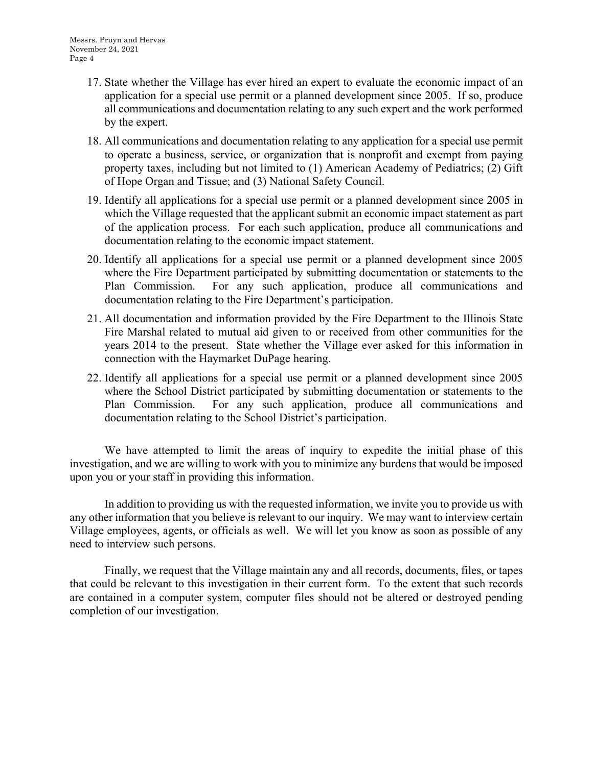- 17. State whether the Village has ever hired an expert to evaluate the economic impact of an application for a special use permit or a planned development since 2005. If so, produce all communications and documentation relating to any such expert and the work performed by the expert.
- 18. All communications and documentation relating to any application for a special use permit to operate a business, service, or organization that is nonprofit and exempt from paying property taxes, including but not limited to (1) American Academy of Pediatrics; (2) Gift of Hope Organ and Tissue; and (3) National Safety Council.
- 19. Identify all applications for a special use permit or a planned development since 2005 in which the Village requested that the applicant submit an economic impact statement as part of the application process. For each such application, produce all communications and documentation relating to the economic impact statement.
- 20. Identify all applications for a special use permit or a planned development since 2005 where the Fire Department participated by submitting documentation or statements to the Plan Commission. For any such application, produce all communications and documentation relating to the Fire Department's participation.
- 21. All documentation and information provided by the Fire Department to the Illinois State Fire Marshal related to mutual aid given to or received from other communities for the years 2014 to the present. State whether the Village ever asked for this information in connection with the Haymarket DuPage hearing.
- 22. Identify all applications for a special use permit or a planned development since 2005 where the School District participated by submitting documentation or statements to the Plan Commission. For any such application, produce all communications and documentation relating to the School District's participation.

We have attempted to limit the areas of inquiry to expedite the initial phase of this investigation, and we are willing to work with you to minimize any burdens that would be imposed upon you or your staff in providing this information.

 In addition to providing us with the requested information, we invite you to provide us with any other information that you believe is relevant to our inquiry. We may want to interview certain Village employees, agents, or officials as well. We will let you know as soon as possible of any need to interview such persons.

 Finally, we request that the Village maintain any and all records, documents, files, or tapes that could be relevant to this investigation in their current form. To the extent that such records are contained in a computer system, computer files should not be altered or destroyed pending completion of our investigation.